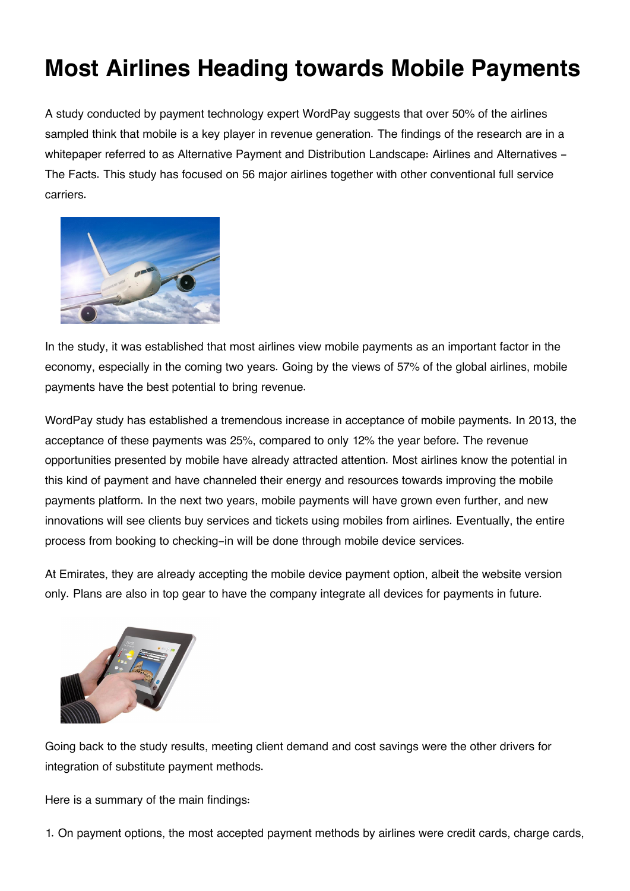## **Most Airlines Heading towards Mobile Payments**

A study conducted by payment technology expert WordPay suggests that over 50% of the airlines sampled think that mobile is a key player in revenue generation. The findings of the research are in a whitepaper referred to as Alternative Payment and Distribution Landscape: Airlines and Alternatives -The Facts. This study has focused on 56 major airlines together with other conventional full service carriers.



In the study, it was established that most airlines view mobile payments as an important factor in the economy, especially in the coming two years. Going by the views of 57% of the global airlines, mobile payments have the best potential to bring revenue.

WordPay study has established a tremendous increase in acceptance of mobile payments. In 2013, the acceptance of these payments was 25%, compared to only 12% the year before. The revenue opportunities presented by mobile have already attracted attention. Most airlines know the potential in this kind of payment and have channeled their energy and resources towards improving the mobile payments platform. In the next two years, mobile payments will have grown even further, and new innovations will see clients buy services and tickets using mobiles from airlines. Eventually, the entire process from booking to checking-in will be done through mobile device services.

At Emirates, they are already accepting the mobile device payment option, albeit the website version only. Plans are also in top gear to have the company integrate all devices for payments in future.



Going back to the study results, meeting client demand and cost savings were the other drivers for integration of substitute payment methods.

Here is a summary of the main findings:

1. On payment options, the most accepted payment methods by airlines were credit cards, charge cards,